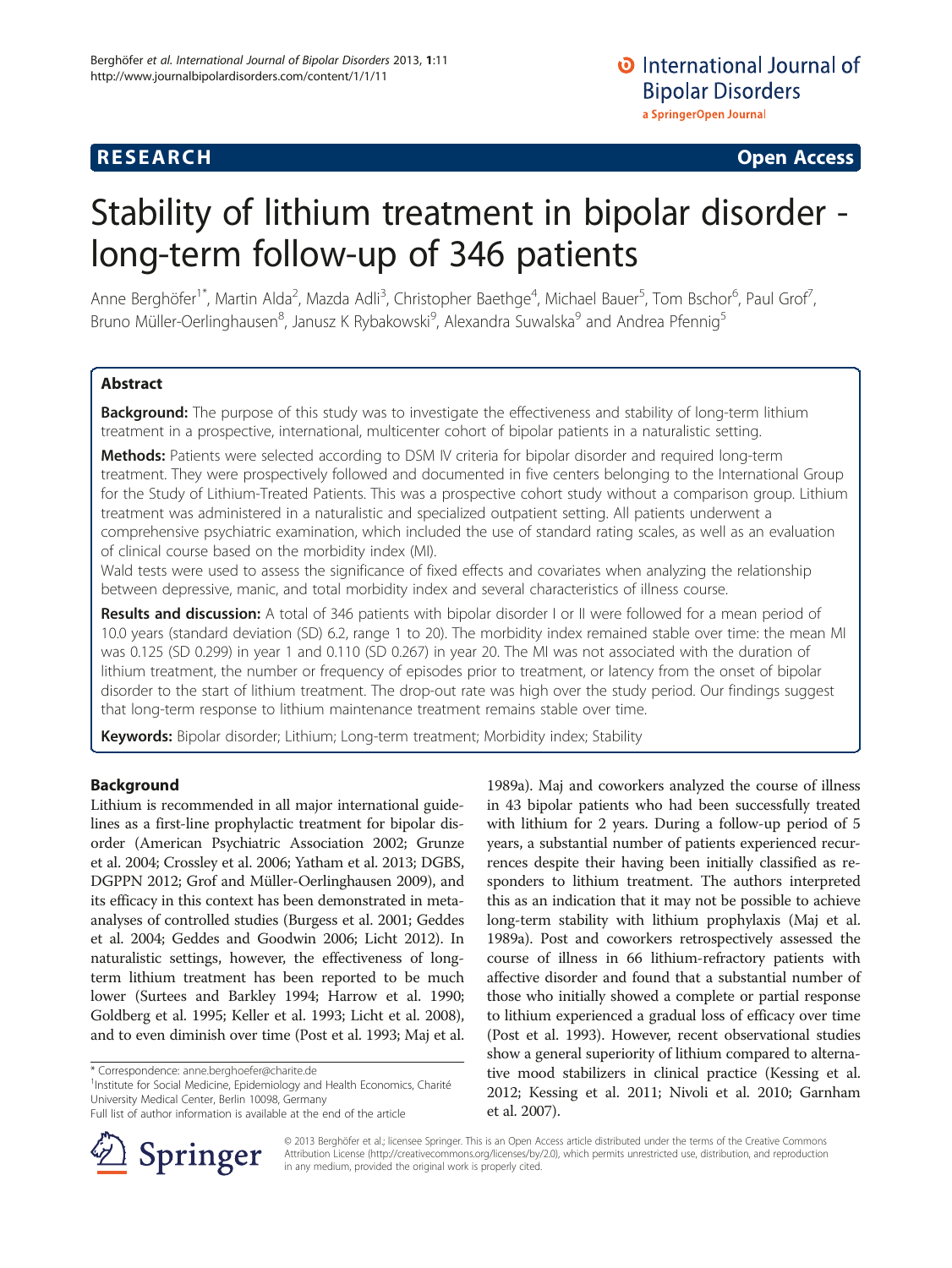## **RESEARCH CHE Open Access**

# Stability of lithium treatment in bipolar disorder long-term follow-up of 346 patients

Anne Berghöfer<sup>1\*</sup>, Martin Alda<sup>2</sup>, Mazda Adli<sup>3</sup>, Christopher Baethge<sup>4</sup>, Michael Bauer<sup>5</sup>, Tom Bschor<sup>6</sup>, Paul Grof<sup>7</sup> , Bruno Müller-Oerlinghausen<sup>8</sup>, Janusz K Rybakowski<sup>9</sup>, Alexandra Suwalska<sup>9</sup> and Andrea Pfennig<sup>5</sup>

## Abstract

Background: The purpose of this study was to investigate the effectiveness and stability of long-term lithium treatment in a prospective, international, multicenter cohort of bipolar patients in a naturalistic setting.

Methods: Patients were selected according to DSM IV criteria for bipolar disorder and required long-term treatment. They were prospectively followed and documented in five centers belonging to the International Group for the Study of Lithium-Treated Patients. This was a prospective cohort study without a comparison group. Lithium treatment was administered in a naturalistic and specialized outpatient setting. All patients underwent a comprehensive psychiatric examination, which included the use of standard rating scales, as well as an evaluation of clinical course based on the morbidity index (MI).

Wald tests were used to assess the significance of fixed effects and covariates when analyzing the relationship between depressive, manic, and total morbidity index and several characteristics of illness course.

Results and discussion: A total of 346 patients with bipolar disorder I or II were followed for a mean period of 10.0 years (standard deviation (SD) 6.2, range 1 to 20). The morbidity index remained stable over time: the mean MI was 0.125 (SD 0.299) in year 1 and 0.110 (SD 0.267) in year 20. The MI was not associated with the duration of lithium treatment, the number or frequency of episodes prior to treatment, or latency from the onset of bipolar disorder to the start of lithium treatment. The drop-out rate was high over the study period. Our findings suggest that long-term response to lithium maintenance treatment remains stable over time.

Keywords: Bipolar disorder; Lithium; Long-term treatment; Morbidity index; Stability

## Background

Lithium is recommended in all major international guidelines as a first-line prophylactic treatment for bipolar disorder (American Psychiatric Association [2002;](#page-6-0) Grunze et al. [2004;](#page-7-0) Crossley et al. [2006;](#page-6-0) Yatham et al. [2013;](#page-7-0) DGBS, DGPPN [2012;](#page-6-0) Grof and Müller-Oerlinghausen [2009](#page-7-0)), and its efficacy in this context has been demonstrated in metaanalyses of controlled studies (Burgess et al. [2001;](#page-6-0) Geddes et al. [2004](#page-7-0); Geddes and Goodwin [2006;](#page-7-0) Licht [2012](#page-7-0)). In naturalistic settings, however, the effectiveness of longterm lithium treatment has been reported to be much lower (Surtees and Barkley [1994](#page-7-0); Harrow et al. [1990](#page-7-0); Goldberg et al. [1995](#page-7-0); Keller et al. [1993;](#page-7-0) Licht et al. [2008](#page-7-0)), and to even diminish over time (Post et al. [1993](#page-7-0); Maj et al.

<sup>1</sup>Institute for Social Medicine, Epidemiology and Health Economics, Charité University Medical Center, Berlin 10098, Germany

Full list of author information is available at the end of the article



[1989a](#page-7-0)). Maj and coworkers analyzed the course of illness in 43 bipolar patients who had been successfully treated with lithium for 2 years. During a follow-up period of 5 years, a substantial number of patients experienced recurrences despite their having been initially classified as responders to lithium treatment. The authors interpreted this as an indication that it may not be possible to achieve long-term stability with lithium prophylaxis (Maj et al. [1989a](#page-7-0)). Post and coworkers retrospectively assessed the course of illness in 66 lithium-refractory patients with affective disorder and found that a substantial number of those who initially showed a complete or partial response to lithium experienced a gradual loss of efficacy over time (Post et al. [1993](#page-7-0)). However, recent observational studies show a general superiority of lithium compared to alternative mood stabilizers in clinical practice (Kessing et al. [2012;](#page-7-0) Kessing et al. [2011;](#page-7-0) Nivoli et al. [2010](#page-7-0); Garnham et al. [2007](#page-7-0)).

© 2013 Berghöfer et al.; licensee Springer. This is an Open Access article distributed under the terms of the Creative Commons Attribution License [\(http://creativecommons.org/licenses/by/2.0\)](http://creativecommons.org/licenses/by/2.0), which permits unrestricted use, distribution, and reproduction in any medium, provided the original work is properly cited.

<sup>\*</sup> Correspondence: [anne.berghoefer@charite.de](mailto:anne.berghoefer@charite.de) <sup>1</sup>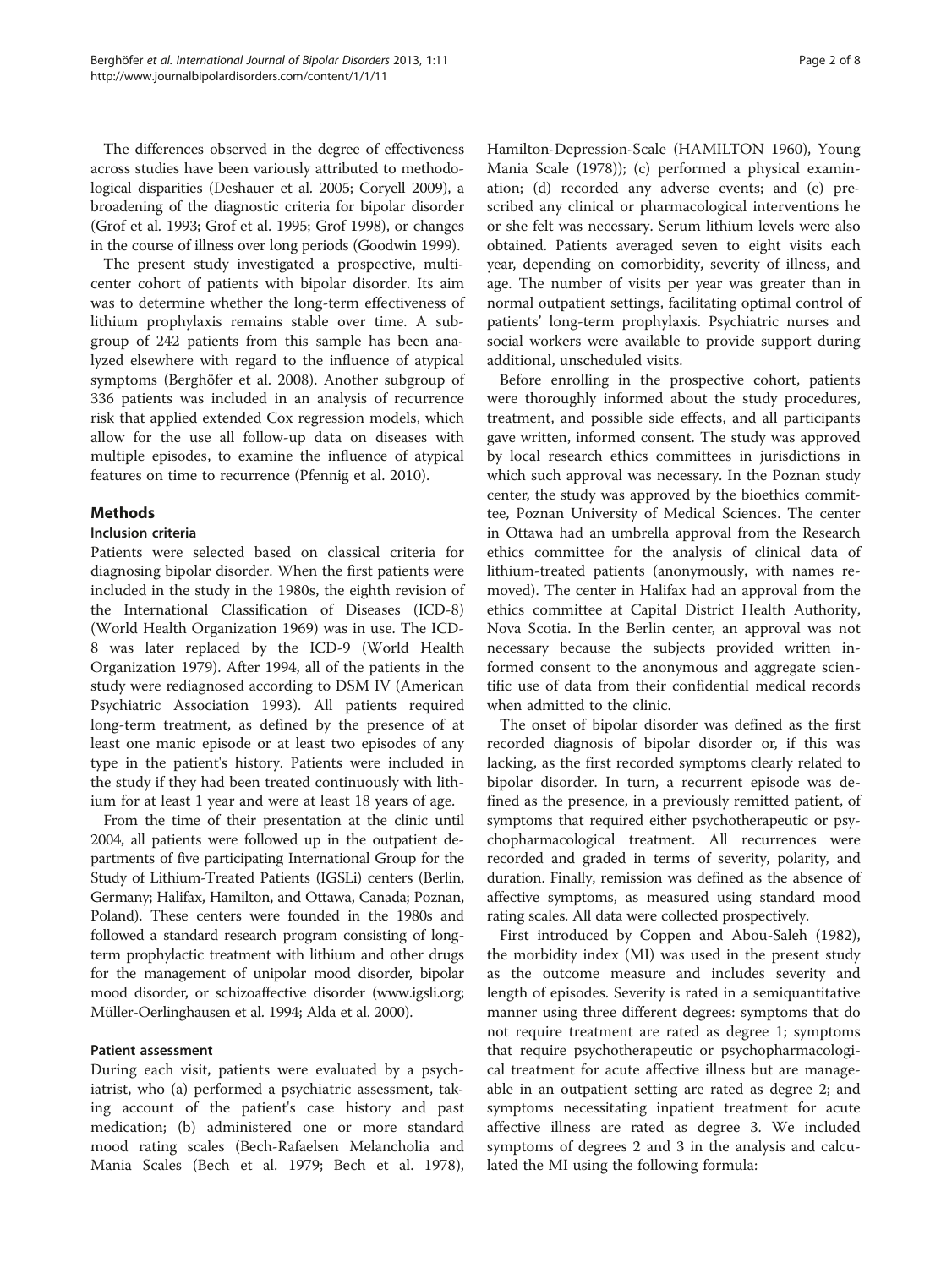The differences observed in the degree of effectiveness across studies have been variously attributed to methodological disparities (Deshauer et al. [2005;](#page-6-0) Coryell [2009](#page-6-0)), a broadening of the diagnostic criteria for bipolar disorder (Grof et al. [1993](#page-7-0); Grof et al. [1995](#page-7-0); Grof [1998\)](#page-7-0), or changes in the course of illness over long periods (Goodwin [1999\)](#page-7-0).

The present study investigated a prospective, multicenter cohort of patients with bipolar disorder. Its aim was to determine whether the long-term effectiveness of lithium prophylaxis remains stable over time. A subgroup of 242 patients from this sample has been analyzed elsewhere with regard to the influence of atypical symptoms (Berghöfer et al. [2008](#page-6-0)). Another subgroup of 336 patients was included in an analysis of recurrence risk that applied extended Cox regression models, which allow for the use all follow-up data on diseases with multiple episodes, to examine the influence of atypical features on time to recurrence (Pfennig et al. [2010\)](#page-7-0).

## **Mathods**

### Inclusion criteria

Patients were selected based on classical criteria for diagnosing bipolar disorder. When the first patients were included in the study in the 1980s, the eighth revision of the International Classification of Diseases (ICD-8) (World Health Organization [1969](#page-7-0)) was in use. The ICD-8 was later replaced by the ICD-9 (World Health Organization [1979](#page-7-0)). After 1994, all of the patients in the study were rediagnosed according to DSM IV (American Psychiatric Association [1993](#page-6-0)). All patients required long-term treatment, as defined by the presence of at least one manic episode or at least two episodes of any type in the patient's history. Patients were included in the study if they had been treated continuously with lithium for at least 1 year and were at least 18 years of age.

From the time of their presentation at the clinic until 2004, all patients were followed up in the outpatient departments of five participating International Group for the Study of Lithium-Treated Patients (IGSLi) centers (Berlin, Germany; Halifax, Hamilton, and Ottawa, Canada; Poznan, Poland). These centers were founded in the 1980s and followed a standard research program consisting of longterm prophylactic treatment with lithium and other drugs for the management of unipolar mood disorder, bipolar mood disorder, or schizoaffective disorder ([www.igsli.org](http://www.igsli.org); Müller-Oerlinghausen et al. [1994](#page-7-0); Alda et al. [2000](#page-6-0)).

#### Patient assessment

During each visit, patients were evaluated by a psychiatrist, who (a) performed a psychiatric assessment, taking account of the patient's case history and past medication; (b) administered one or more standard mood rating scales (Bech-Rafaelsen Melancholia and Mania Scales (Bech et al. [1979](#page-6-0); Bech et al. [1978](#page-6-0)),

Hamilton-Depression-Scale (HAMILTON [1960](#page-7-0)), Young Mania Scale [\(1978](#page-7-0))); (c) performed a physical examination; (d) recorded any adverse events; and (e) prescribed any clinical or pharmacological interventions he or she felt was necessary. Serum lithium levels were also obtained. Patients averaged seven to eight visits each year, depending on comorbidity, severity of illness, and age. The number of visits per year was greater than in normal outpatient settings, facilitating optimal control of patients' long-term prophylaxis. Psychiatric nurses and social workers were available to provide support during additional, unscheduled visits.

Before enrolling in the prospective cohort, patients were thoroughly informed about the study procedures, treatment, and possible side effects, and all participants gave written, informed consent. The study was approved by local research ethics committees in jurisdictions in which such approval was necessary. In the Poznan study center, the study was approved by the bioethics committee, Poznan University of Medical Sciences. The center in Ottawa had an umbrella approval from the Research ethics committee for the analysis of clinical data of lithium-treated patients (anonymously, with names removed). The center in Halifax had an approval from the ethics committee at Capital District Health Authority, Nova Scotia. In the Berlin center, an approval was not necessary because the subjects provided written informed consent to the anonymous and aggregate scientific use of data from their confidential medical records when admitted to the clinic.

The onset of bipolar disorder was defined as the first recorded diagnosis of bipolar disorder or, if this was lacking, as the first recorded symptoms clearly related to bipolar disorder. In turn, a recurrent episode was defined as the presence, in a previously remitted patient, of symptoms that required either psychotherapeutic or psychopharmacological treatment. All recurrences were recorded and graded in terms of severity, polarity, and duration. Finally, remission was defined as the absence of affective symptoms, as measured using standard mood rating scales. All data were collected prospectively.

First introduced by Coppen and Abou-Saleh ([1982](#page-6-0)), the morbidity index (MI) was used in the present study as the outcome measure and includes severity and length of episodes. Severity is rated in a semiquantitative manner using three different degrees: symptoms that do not require treatment are rated as degree 1; symptoms that require psychotherapeutic or psychopharmacological treatment for acute affective illness but are manageable in an outpatient setting are rated as degree 2; and symptoms necessitating inpatient treatment for acute affective illness are rated as degree 3. We included symptoms of degrees 2 and 3 in the analysis and calculated the MI using the following formula: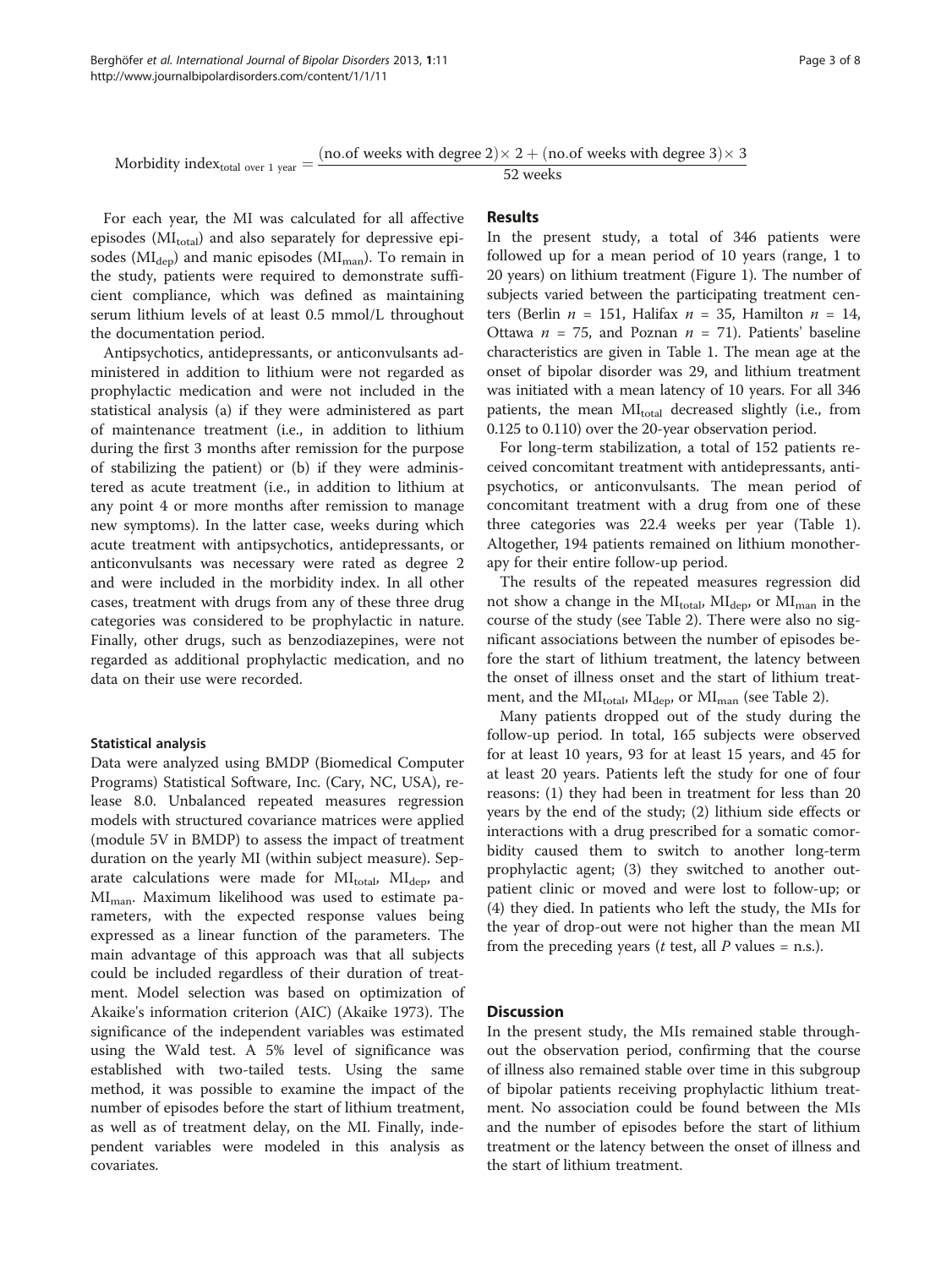Morbidity index<sub>total over 1 year</sub>  $=$   $\frac{(no.of weeks with degree 2) \times 2 + (no.of weeks with degree 3) \times 3}{52 weeks}$ 

52 weeks

For each year, the MI was calculated for all affective episodes (MI<sub>total</sub>) and also separately for depressive episodes ( $MI_{dep}$ ) and manic episodes ( $MI_{man}$ ). To remain in the study, patients were required to demonstrate sufficient compliance, which was defined as maintaining serum lithium levels of at least 0.5 mmol/L throughout the documentation period.

Antipsychotics, antidepressants, or anticonvulsants administered in addition to lithium were not regarded as prophylactic medication and were not included in the statistical analysis (a) if they were administered as part of maintenance treatment (i.e., in addition to lithium during the first 3 months after remission for the purpose of stabilizing the patient) or (b) if they were administered as acute treatment (i.e., in addition to lithium at any point 4 or more months after remission to manage new symptoms). In the latter case, weeks during which acute treatment with antipsychotics, antidepressants, or anticonvulsants was necessary were rated as degree 2 and were included in the morbidity index. In all other cases, treatment with drugs from any of these three drug categories was considered to be prophylactic in nature. Finally, other drugs, such as benzodiazepines, were not regarded as additional prophylactic medication, and no data on their use were recorded.

### Statistical analysis

Data were analyzed using BMDP (Biomedical Computer Programs) Statistical Software, Inc. (Cary, NC, USA), release 8.0. Unbalanced repeated measures regression models with structured covariance matrices were applied (module 5V in BMDP) to assess the impact of treatment duration on the yearly MI (within subject measure). Separate calculations were made for  $MI_{total}$ ,  $MI_{dep}$ , and  $MI_{man}$ . Maximum likelihood was used to estimate parameters, with the expected response values being expressed as a linear function of the parameters. The main advantage of this approach was that all subjects could be included regardless of their duration of treatment. Model selection was based on optimization of Akaike's information criterion (AIC) (Akaike [1973\)](#page-6-0). The significance of the independent variables was estimated using the Wald test. A 5% level of significance was established with two-tailed tests. Using the same method, it was possible to examine the impact of the number of episodes before the start of lithium treatment, as well as of treatment delay, on the MI. Finally, independent variables were modeled in this analysis as covariates.

## Results

In the present study, a total of 346 patients were followed up for a mean period of 10 years (range, 1 to 20 years) on lithium treatment (Figure [1\)](#page-3-0). The number of subjects varied between the participating treatment centers (Berlin  $n = 151$ , Halifax  $n = 35$ , Hamilton  $n = 14$ , Ottawa  $n = 75$ , and Poznan  $n = 71$ ). Patients' baseline characteristics are given in Table [1](#page-3-0). The mean age at the onset of bipolar disorder was 29, and lithium treatment was initiated with a mean latency of 10 years. For all 346 patients, the mean  $MI_{total}$  decreased slightly (i.e., from 0.125 to 0.110) over the 20-year observation period.

For long-term stabilization, a total of 152 patients received concomitant treatment with antidepressants, antipsychotics, or anticonvulsants. The mean period of concomitant treatment with a drug from one of these three categories was 22.4 weeks per year (Table [1](#page-3-0)). Altogether, 194 patients remained on lithium monotherapy for their entire follow-up period.

The results of the repeated measures regression did not show a change in the MI<sub>total</sub>, MI<sub>dep</sub>, or MI<sub>man</sub> in the course of the study (see Table [2](#page-4-0)). There were also no significant associations between the number of episodes before the start of lithium treatment, the latency between the onset of illness onset and the start of lithium treatment, and the  $MI_{total}$ ,  $MI_{dep}$ , or  $MI_{man}$  (see Table [2](#page-4-0)).

Many patients dropped out of the study during the follow-up period. In total, 165 subjects were observed for at least 10 years, 93 for at least 15 years, and 45 for at least 20 years. Patients left the study for one of four reasons: (1) they had been in treatment for less than 20 years by the end of the study; (2) lithium side effects or interactions with a drug prescribed for a somatic comorbidity caused them to switch to another long-term prophylactic agent; (3) they switched to another outpatient clinic or moved and were lost to follow-up; or (4) they died. In patients who left the study, the MIs for the year of drop-out were not higher than the mean MI from the preceding years (*t* test, all *P* values = n.s.).

## **Discussion**

In the present study, the MIs remained stable throughout the observation period, confirming that the course of illness also remained stable over time in this subgroup of bipolar patients receiving prophylactic lithium treatment. No association could be found between the MIs and the number of episodes before the start of lithium treatment or the latency between the onset of illness and the start of lithium treatment.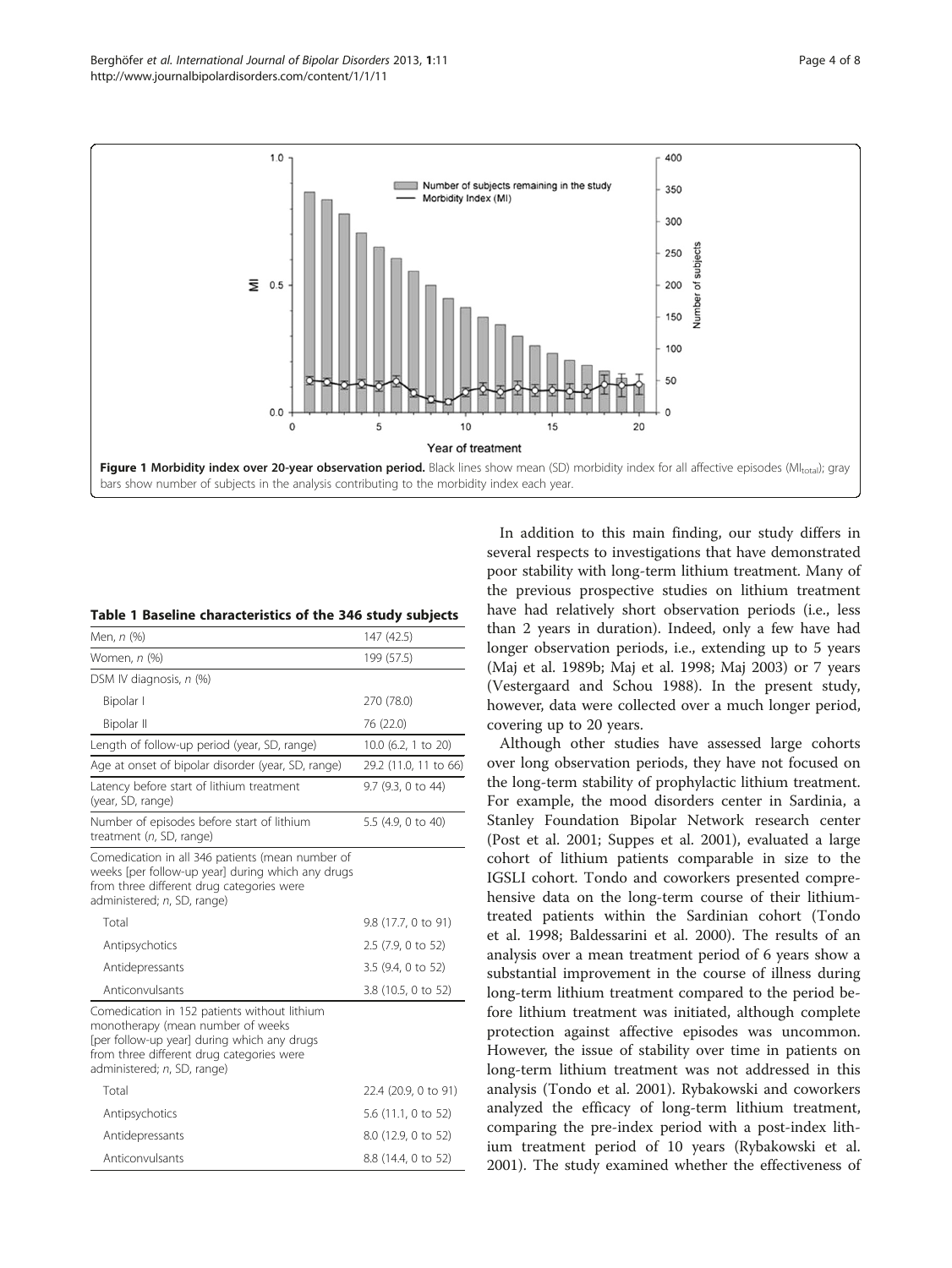<span id="page-3-0"></span>

|  |  | Table 1 Baseline characteristics of the 346 study subjects |  |  |  |  |
|--|--|------------------------------------------------------------|--|--|--|--|
|--|--|------------------------------------------------------------|--|--|--|--|

| Men, n (%)                                                                                                                                                                                                   | 147 (42.5)            |
|--------------------------------------------------------------------------------------------------------------------------------------------------------------------------------------------------------------|-----------------------|
| Women, n (%)                                                                                                                                                                                                 | 199 (57.5)            |
| DSM IV diagnosis, n (%)                                                                                                                                                                                      |                       |
| Bipolar I                                                                                                                                                                                                    | 270 (78.0)            |
| Bipolar II                                                                                                                                                                                                   | 76 (22.0)             |
| Length of follow-up period (year, SD, range)                                                                                                                                                                 | 10.0 (6.2, 1 to 20)   |
| Age at onset of bipolar disorder (year, SD, range)                                                                                                                                                           | 29.2 (11.0, 11 to 66) |
| Latency before start of lithium treatment<br>(year, SD, range)                                                                                                                                               | 9.7 (9.3, 0 to 44)    |
| Number of episodes before start of lithium<br>treatment $(n, SD, range)$                                                                                                                                     | 5.5 (4.9, 0 to 40)    |
| Comedication in all 346 patients (mean number of<br>weeks [per follow-up year] during which any drugs<br>from three different drug categories were<br>administered; n, SD, range)                            |                       |
| Total                                                                                                                                                                                                        | 9.8 (17.7, 0 to 91)   |
| Antipsychotics                                                                                                                                                                                               | 2.5 (7.9, 0 to 52)    |
| Antidepressants                                                                                                                                                                                              | 3.5 (9.4, 0 to 52)    |
| Anticonvulsants                                                                                                                                                                                              | 3.8 (10.5, 0 to 52)   |
| Comedication in 152 patients without lithium<br>monotherapy (mean number of weeks<br>[per follow-up year] during which any drugs<br>from three different drug categories were<br>administered; n, SD, range) |                       |
| Total                                                                                                                                                                                                        | 22.4 (20.9, 0 to 91)  |
| Antipsychotics                                                                                                                                                                                               | 5.6 (11.1, 0 to 52)   |
| Antidepressants                                                                                                                                                                                              | 8.0 (12.9, 0 to 52)   |
| Anticonvulsants                                                                                                                                                                                              | 8.8 (14.4, 0 to 52)   |

In addition to this main finding, our study differs in several respects to investigations that have demonstrated poor stability with long-term lithium treatment. Many of the previous prospective studies on lithium treatment have had relatively short observation periods (i.e., less than 2 years in duration). Indeed, only a few have had longer observation periods, i.e., extending up to 5 years (Maj et al. [1989b](#page-7-0); Maj et al. [1998](#page-7-0); Maj [2003](#page-7-0)) or 7 years (Vestergaard and Schou [1988](#page-7-0)). In the present study, however, data were collected over a much longer period, covering up to 20 years.

Although other studies have assessed large cohorts over long observation periods, they have not focused on the long-term stability of prophylactic lithium treatment. For example, the mood disorders center in Sardinia, a Stanley Foundation Bipolar Network research center (Post et al. [2001](#page-7-0); Suppes et al. [2001](#page-7-0)), evaluated a large cohort of lithium patients comparable in size to the IGSLI cohort. Tondo and coworkers presented comprehensive data on the long-term course of their lithiumtreated patients within the Sardinian cohort (Tondo et al. [1998;](#page-7-0) Baldessarini et al. [2000\)](#page-6-0). The results of an analysis over a mean treatment period of 6 years show a substantial improvement in the course of illness during long-term lithium treatment compared to the period before lithium treatment was initiated, although complete protection against affective episodes was uncommon. However, the issue of stability over time in patients on long-term lithium treatment was not addressed in this analysis (Tondo et al. [2001](#page-7-0)). Rybakowski and coworkers analyzed the efficacy of long-term lithium treatment, comparing the pre-index period with a post-index lithium treatment period of 10 years (Rybakowski et al. [2001](#page-7-0)). The study examined whether the effectiveness of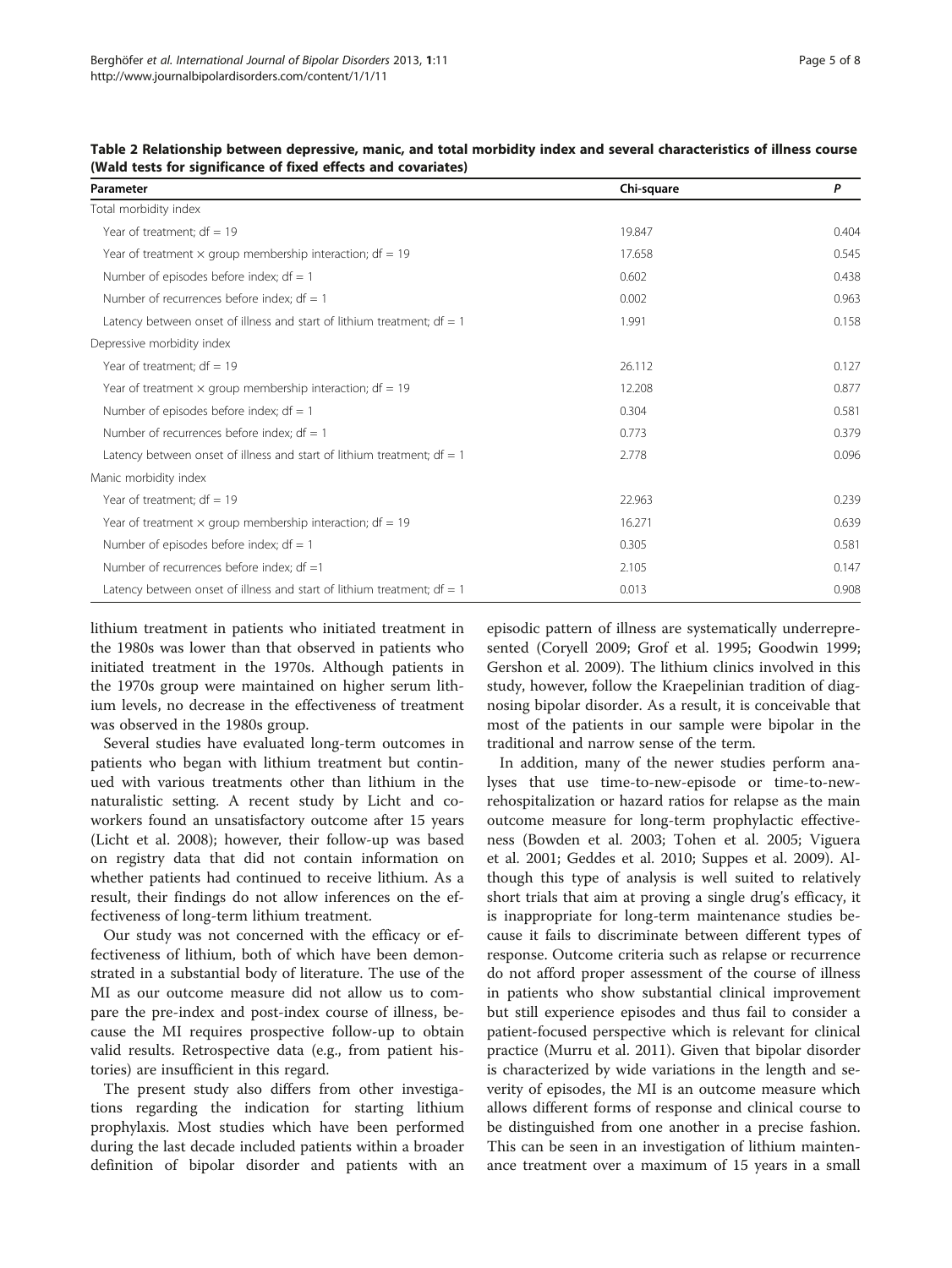| Parameter                                                                 | Chi-square | P     |
|---------------------------------------------------------------------------|------------|-------|
| Total morbidity index                                                     |            |       |
| Year of treatment; $df = 19$                                              | 19.847     | 0.404 |
| Year of treatment $\times$ group membership interaction; df = 19          | 17.658     | 0.545 |
| Number of episodes before index; $df = 1$                                 | 0.602      | 0.438 |
| Number of recurrences before index; $df = 1$                              | 0.002      | 0.963 |
| Latency between onset of illness and start of lithium treatment; $df = 1$ | 1.991      | 0.158 |
| Depressive morbidity index                                                |            |       |
| Year of treatment: $df = 19$                                              | 26.112     | 0.127 |
| Year of treatment $\times$ group membership interaction; df = 19          | 12.208     | 0.877 |
| Number of episodes before index; $df = 1$                                 | 0.304      | 0.581 |
| Number of recurrences before index; $df = 1$                              | 0.773      | 0.379 |
| Latency between onset of illness and start of lithium treatment; $df = 1$ | 2.778      | 0.096 |
| Manic morbidity index                                                     |            |       |
| Year of treatment; $df = 19$                                              | 22.963     | 0.239 |
| Year of treatment $\times$ group membership interaction; df = 19          | 16.271     | 0.639 |
| Number of episodes before index; $df = 1$                                 | 0.305      | 0.581 |
| Number of recurrences before index; $df = 1$                              | 2.105      | 0.147 |
| Latency between onset of illness and start of lithium treatment; $df = 1$ | 0.013      | 0.908 |

<span id="page-4-0"></span>Table 2 Relationship between depressive, manic, and total morbidity index and several characteristics of illness course (Wald tests for significance of fixed effects and covariates)

lithium treatment in patients who initiated treatment in the 1980s was lower than that observed in patients who initiated treatment in the 1970s. Although patients in the 1970s group were maintained on higher serum lithium levels, no decrease in the effectiveness of treatment was observed in the 1980s group.

Several studies have evaluated long-term outcomes in patients who began with lithium treatment but continued with various treatments other than lithium in the naturalistic setting. A recent study by Licht and coworkers found an unsatisfactory outcome after 15 years (Licht et al. [2008\)](#page-7-0); however, their follow-up was based on registry data that did not contain information on whether patients had continued to receive lithium. As a result, their findings do not allow inferences on the effectiveness of long-term lithium treatment.

Our study was not concerned with the efficacy or effectiveness of lithium, both of which have been demonstrated in a substantial body of literature. The use of the MI as our outcome measure did not allow us to compare the pre-index and post-index course of illness, because the MI requires prospective follow-up to obtain valid results. Retrospective data (e.g., from patient histories) are insufficient in this regard.

The present study also differs from other investigations regarding the indication for starting lithium prophylaxis. Most studies which have been performed during the last decade included patients within a broader definition of bipolar disorder and patients with an episodic pattern of illness are systematically underrepresented (Coryell [2009](#page-6-0); Grof et al. [1995;](#page-7-0) Goodwin [1999](#page-7-0); Gershon et al. [2009\)](#page-7-0). The lithium clinics involved in this study, however, follow the Kraepelinian tradition of diagnosing bipolar disorder. As a result, it is conceivable that most of the patients in our sample were bipolar in the traditional and narrow sense of the term.

In addition, many of the newer studies perform analyses that use time-to-new-episode or time-to-newrehospitalization or hazard ratios for relapse as the main outcome measure for long-term prophylactic effectiveness (Bowden et al. [2003](#page-6-0); Tohen et al. [2005;](#page-7-0) Viguera et al. [2001;](#page-7-0) Geddes et al. [2010](#page-7-0); Suppes et al. [2009](#page-7-0)). Although this type of analysis is well suited to relatively short trials that aim at proving a single drug's efficacy, it is inappropriate for long-term maintenance studies because it fails to discriminate between different types of response. Outcome criteria such as relapse or recurrence do not afford proper assessment of the course of illness in patients who show substantial clinical improvement but still experience episodes and thus fail to consider a patient-focused perspective which is relevant for clinical practice (Murru et al. [2011](#page-7-0)). Given that bipolar disorder is characterized by wide variations in the length and severity of episodes, the MI is an outcome measure which allows different forms of response and clinical course to be distinguished from one another in a precise fashion. This can be seen in an investigation of lithium maintenance treatment over a maximum of 15 years in a small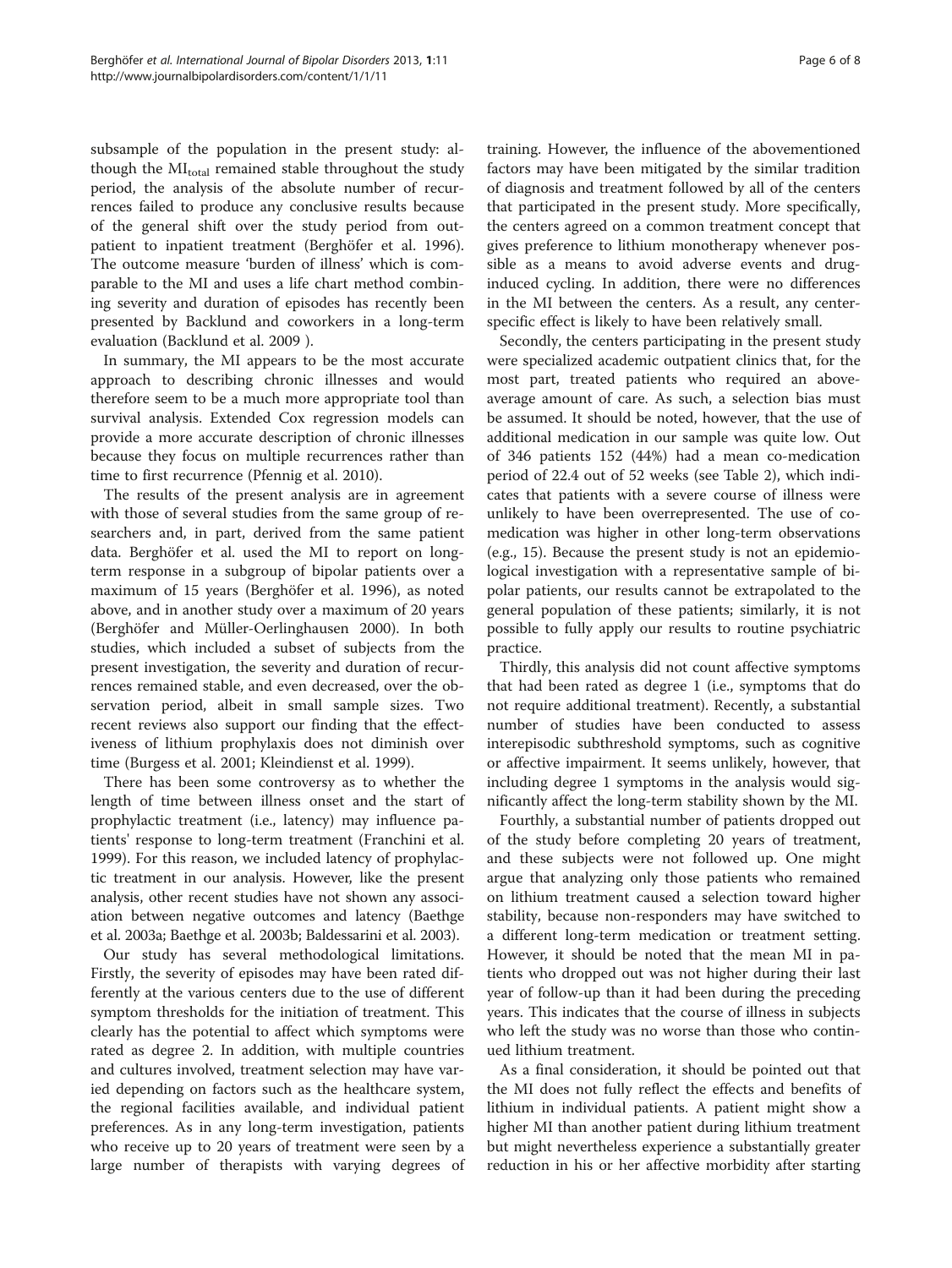subsample of the population in the present study: although the MI<sub>total</sub> remained stable throughout the study period, the analysis of the absolute number of recurrences failed to produce any conclusive results because of the general shift over the study period from outpatient to inpatient treatment (Berghöfer et al. [1996](#page-6-0)). The outcome measure 'burden of illness' which is comparable to the MI and uses a life chart method combining severity and duration of episodes has recently been presented by Backlund and coworkers in a long-term evaluation (Backlund et al. [2009](#page-6-0) ).

In summary, the MI appears to be the most accurate approach to describing chronic illnesses and would therefore seem to be a much more appropriate tool than survival analysis. Extended Cox regression models can provide a more accurate description of chronic illnesses because they focus on multiple recurrences rather than time to first recurrence (Pfennig et al. [2010](#page-7-0)).

The results of the present analysis are in agreement with those of several studies from the same group of researchers and, in part, derived from the same patient data. Berghöfer et al. used the MI to report on longterm response in a subgroup of bipolar patients over a maximum of 15 years (Berghöfer et al. [1996](#page-6-0)), as noted above, and in another study over a maximum of 20 years (Berghöfer and Müller-Oerlinghausen [2000\)](#page-6-0). In both studies, which included a subset of subjects from the present investigation, the severity and duration of recurrences remained stable, and even decreased, over the observation period, albeit in small sample sizes. Two recent reviews also support our finding that the effectiveness of lithium prophylaxis does not diminish over time (Burgess et al. [2001;](#page-6-0) Kleindienst et al. [1999\)](#page-7-0).

There has been some controversy as to whether the length of time between illness onset and the start of prophylactic treatment (i.e., latency) may influence patients' response to long-term treatment (Franchini et al. [1999](#page-6-0)). For this reason, we included latency of prophylactic treatment in our analysis. However, like the present analysis, other recent studies have not shown any association between negative outcomes and latency (Baethge et al. [2003a;](#page-6-0) Baethge et al. [2003b;](#page-6-0) Baldessarini et al. [2003](#page-6-0)).

Our study has several methodological limitations. Firstly, the severity of episodes may have been rated differently at the various centers due to the use of different symptom thresholds for the initiation of treatment. This clearly has the potential to affect which symptoms were rated as degree 2. In addition, with multiple countries and cultures involved, treatment selection may have varied depending on factors such as the healthcare system, the regional facilities available, and individual patient preferences. As in any long-term investigation, patients who receive up to 20 years of treatment were seen by a large number of therapists with varying degrees of

training. However, the influence of the abovementioned factors may have been mitigated by the similar tradition of diagnosis and treatment followed by all of the centers that participated in the present study. More specifically, the centers agreed on a common treatment concept that gives preference to lithium monotherapy whenever possible as a means to avoid adverse events and druginduced cycling. In addition, there were no differences in the MI between the centers. As a result, any centerspecific effect is likely to have been relatively small.

Secondly, the centers participating in the present study were specialized academic outpatient clinics that, for the most part, treated patients who required an aboveaverage amount of care. As such, a selection bias must be assumed. It should be noted, however, that the use of additional medication in our sample was quite low. Out of 346 patients 152 (44%) had a mean co-medication period of 22.4 out of 52 weeks (see Table [2\)](#page-4-0), which indicates that patients with a severe course of illness were unlikely to have been overrepresented. The use of comedication was higher in other long-term observations (e.g., 15). Because the present study is not an epidemiological investigation with a representative sample of bipolar patients, our results cannot be extrapolated to the general population of these patients; similarly, it is not possible to fully apply our results to routine psychiatric practice.

Thirdly, this analysis did not count affective symptoms that had been rated as degree 1 (i.e., symptoms that do not require additional treatment). Recently, a substantial number of studies have been conducted to assess interepisodic subthreshold symptoms, such as cognitive or affective impairment. It seems unlikely, however, that including degree 1 symptoms in the analysis would significantly affect the long-term stability shown by the MI.

Fourthly, a substantial number of patients dropped out of the study before completing 20 years of treatment, and these subjects were not followed up. One might argue that analyzing only those patients who remained on lithium treatment caused a selection toward higher stability, because non-responders may have switched to a different long-term medication or treatment setting. However, it should be noted that the mean MI in patients who dropped out was not higher during their last year of follow-up than it had been during the preceding years. This indicates that the course of illness in subjects who left the study was no worse than those who continued lithium treatment.

As a final consideration, it should be pointed out that the MI does not fully reflect the effects and benefits of lithium in individual patients. A patient might show a higher MI than another patient during lithium treatment but might nevertheless experience a substantially greater reduction in his or her affective morbidity after starting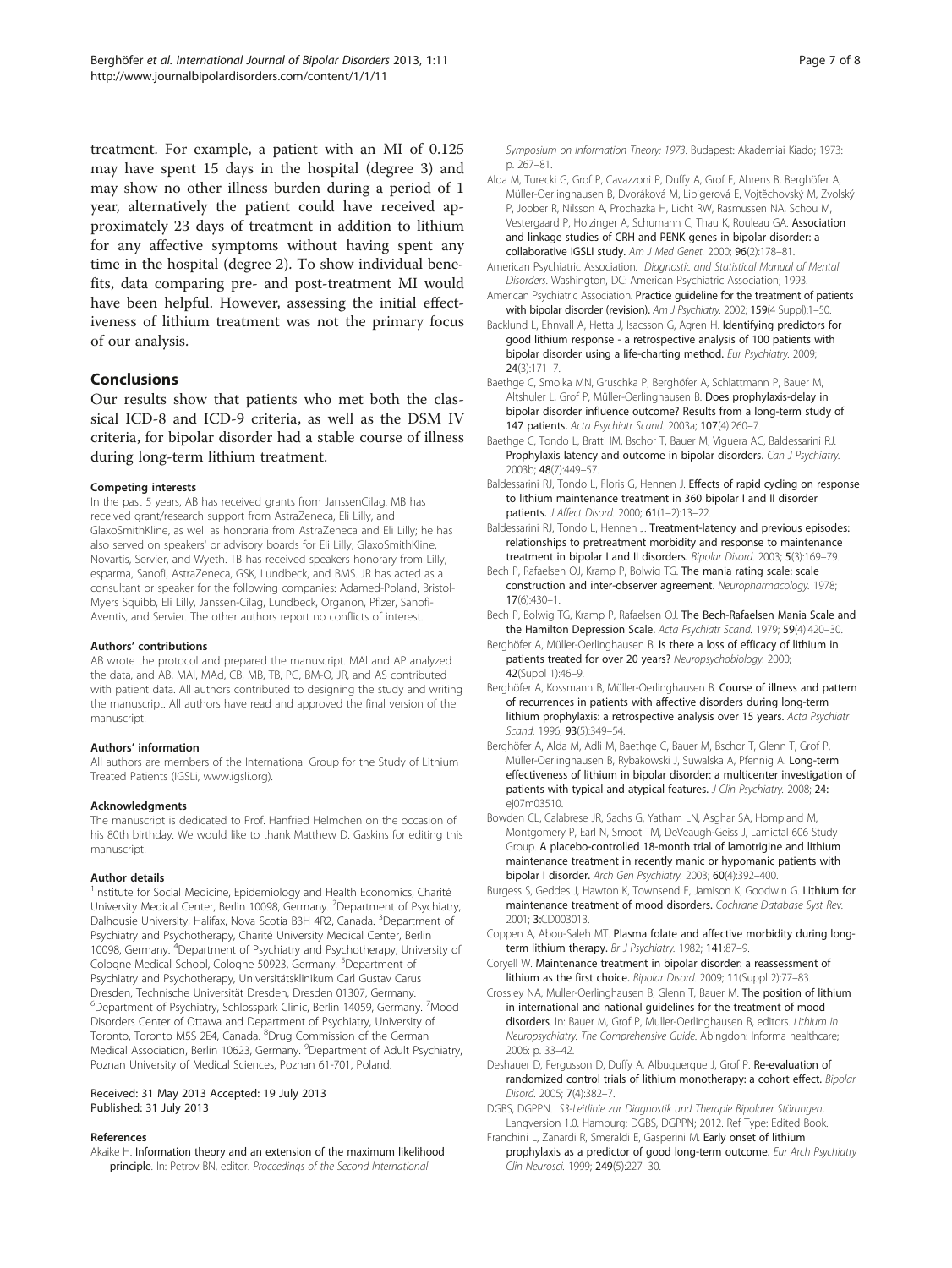<span id="page-6-0"></span>treatment. For example, a patient with an MI of 0.125 may have spent 15 days in the hospital (degree 3) and may show no other illness burden during a period of 1 year, alternatively the patient could have received approximately 23 days of treatment in addition to lithium for any affective symptoms without having spent any time in the hospital (degree 2). To show individual benefits, data comparing pre- and post-treatment MI would have been helpful. However, assessing the initial effectiveness of lithium treatment was not the primary focus of our analysis.

#### Conclusions

Our results show that patients who met both the classical ICD-8 and ICD-9 criteria, as well as the DSM IV criteria, for bipolar disorder had a stable course of illness during long-term lithium treatment.

#### Competing interests

In the past 5 years, AB has received grants from JanssenCilag. MB has received grant/research support from AstraZeneca, Eli Lilly, and GlaxoSmithKline, as well as honoraria from AstraZeneca and Eli Lilly; he has also served on speakers' or advisory boards for Eli Lilly, GlaxoSmithKline, Novartis, Servier, and Wyeth. TB has received speakers honorary from Lilly, esparma, Sanofi, AstraZeneca, GSK, Lundbeck, and BMS. JR has acted as a consultant or speaker for the following companies: Adamed-Poland, Bristol-Myers Squibb, Eli Lilly, Janssen-Cilag, Lundbeck, Organon, Pfizer, Sanofi-Aventis, and Servier. The other authors report no conflicts of interest.

#### Authors' contributions

AB wrote the protocol and prepared the manuscript. MAl and AP analyzed the data, and AB, MAl, MAd, CB, MB, TB, PG, BM-O, JR, and AS contributed with patient data. All authors contributed to designing the study and writing the manuscript. All authors have read and approved the final version of the manuscript.

#### Authors' information

All authors are members of the International Group for the Study of Lithium Treated Patients (IGSLi, [www.igsli.org\)](http://www.igsli.org).

#### Acknowledgments

The manuscript is dedicated to Prof. Hanfried Helmchen on the occasion of his 80th birthday. We would like to thank Matthew D. Gaskins for editing this manuscript.

#### Author details

<sup>1</sup>Institute for Social Medicine, Epidemiology and Health Economics, Charité University Medical Center, Berlin 10098, Germany. <sup>2</sup>Department of Psychiatry, Dalhousie University, Halifax, Nova Scotia B3H 4R2, Canada. <sup>3</sup>Department of Psychiatry and Psychotherapy, Charité University Medical Center, Berlin 10098, Germany. <sup>4</sup>Department of Psychiatry and Psychotherapy, University of Cologne Medical School, Cologne 50923, Germany. <sup>5</sup>Department of Psychiatry and Psychotherapy, Universitätsklinikum Carl Gustav Carus Dresden, Technische Universität Dresden, Dresden 01307, Germany. <sup>6</sup>Department of Psychiatry, Schlosspark Clinic, Berlin 14059, Germany. <sup>7</sup>Mood Disorders Center of Ottawa and Department of Psychiatry, University of Toronto, Toronto M5S 2E4, Canada. <sup>8</sup>Drug Commission of the German Medical Association, Berlin 10623, Germany. <sup>9</sup>Department of Adult Psychiatry, Poznan University of Medical Sciences, Poznan 61-701, Poland.

Received: 31 May 2013 Accepted: 19 July 2013 Published: 31 July 2013

#### References

Akaike H. Information theory and an extension of the maximum likelihood principle. In: Petrov BN, editor. Proceedings of the Second International

Symposium on Information Theory: 1973. Budapest: Akademiai Kiado; 1973: p. 267–81.

- Alda M, Turecki G, Grof P, Cavazzoni P, Duffy A, Grof E, Ahrens B, Berghöfer A, Müller-Oerlinghausen B, Dvoráková M, Libigerová E, Vojtĕchovský M, Zvolský P, Joober R, Nilsson A, Prochazka H, Licht RW, Rasmussen NA, Schou M, Vestergaard P, Holzinger A, Schumann C, Thau K, Rouleau GA. Association and linkage studies of CRH and PENK genes in bipolar disorder: a collaborative IGSLI study. Am J Med Genet. 2000; 96(2):178-81.
- American Psychiatric Association. Diagnostic and Statistical Manual of Mental Disorders. Washington, DC: American Psychiatric Association; 1993.
- American Psychiatric Association. Practice guideline for the treatment of patients with bipolar disorder (revision). Am J Psychiatry. 2002; 159(4 Suppl):1-50.
- Backlund L, Ehnvall A, Hetta J, Isacsson G, Agren H. Identifying predictors for good lithium response - a retrospective analysis of 100 patients with bipolar disorder using a life-charting method. Eur Psychiatry. 2009; 24(3):171–7.
- Baethge C, Smolka MN, Gruschka P, Berghöfer A, Schlattmann P, Bauer M, Altshuler L, Grof P, Müller-Oerlinghausen B. Does prophylaxis-delay in bipolar disorder influence outcome? Results from a long-term study of 147 patients. Acta Psychiatr Scand. 2003a; 107(4):260–7.
- Baethge C, Tondo L, Bratti IM, Bschor T, Bauer M, Viguera AC, Baldessarini RJ. Prophylaxis latency and outcome in bipolar disorders. Can J Psychiatry. 2003b; 48(7):449–57.
- Baldessarini RJ, Tondo L, Floris G, Hennen J. Effects of rapid cycling on response to lithium maintenance treatment in 360 bipolar I and II disorder patients. J Affect Disord. 2000; 61(1–2):13–22.
- Baldessarini RJ, Tondo L, Hennen J. Treatment-latency and previous episodes: relationships to pretreatment morbidity and response to maintenance treatment in bipolar I and II disorders. Bipolar Disord. 2003; 5(3):169–79.
- Bech P, Rafaelsen OJ, Kramp P, Bolwig TG. The mania rating scale: scale construction and inter-observer agreement. Neuropharmacology. 1978; 17(6):430–1.
- Bech P, Bolwig TG, Kramp P, Rafaelsen OJ. The Bech-Rafaelsen Mania Scale and the Hamilton Depression Scale. Acta Psychiatr Scand. 1979; 59(4):420-30.
- Berghöfer A, Müller-Oerlinghausen B. Is there a loss of efficacy of lithium in patients treated for over 20 years? Neuropsychobiology. 2000; 42(Suppl 1):46–9.
- Berghöfer A, Kossmann B, Müller-Oerlinghausen B. Course of illness and pattern of recurrences in patients with affective disorders during long-term lithium prophylaxis: a retrospective analysis over 15 years. Acta Psychiatr Scand. 1996; 93(5):349-54.
- Berghöfer A, Alda M, Adli M, Baethge C, Bauer M, Bschor T, Glenn T, Grof P, Müller-Oerlinghausen B, Rybakowski J, Suwalska A, Pfennig A. Long-term effectiveness of lithium in bipolar disorder: a multicenter investigation of patients with typical and atypical features. J Clin Psychiatry. 2008; 24: ej07m03510.
- Bowden CL, Calabrese JR, Sachs G, Yatham LN, Asghar SA, Hompland M, Montgomery P, Earl N, Smoot TM, DeVeaugh-Geiss J, Lamictal 606 Study Group. A placebo-controlled 18-month trial of lamotrigine and lithium maintenance treatment in recently manic or hypomanic patients with bipolar I disorder. Arch Gen Psychiatry. 2003; 60(4):392–400.
- Burgess S, Geddes J, Hawton K, Townsend E, Jamison K, Goodwin G. Lithium for maintenance treatment of mood disorders. Cochrane Database Syst Rev. 2001; 3:CD003013.
- Coppen A, Abou-Saleh MT. Plasma folate and affective morbidity during longterm lithium therapy. Br J Psychiatry. 1982; 141:87-9.
- Coryell W. Maintenance treatment in bipolar disorder: a reassessment of lithium as the first choice. Bipolar Disord. 2009; 11(Suppl 2):77–83.
- Crossley NA, Muller-Oerlinghausen B, Glenn T, Bauer M. The position of lithium in international and national guidelines for the treatment of mood disorders. In: Bauer M, Grof P, Muller-Oerlinghausen B, editors. Lithium in Neuropsychiatry. The Comprehensive Guide. Abingdon: Informa healthcare; 2006: p. 33–42.
- Deshauer D, Fergusson D, Duffy A, Albuquerque J, Grof P. Re-evaluation of randomized control trials of lithium monotherapy: a cohort effect. Bipolar Disord. 2005; 7(4):382–7.
- DGBS, DGPPN. S3-Leitlinie zur Diagnostik und Therapie Bipolarer Störungen, Langversion 1.0. Hamburg: DGBS, DGPPN; 2012. Ref Type: Edited Book.
- Franchini L, Zanardi R, Smeraldi E, Gasperini M. Early onset of lithium prophylaxis as a predictor of good long-term outcome. Eur Arch Psychiatry Clin Neurosci. 1999; 249(5):227–30.